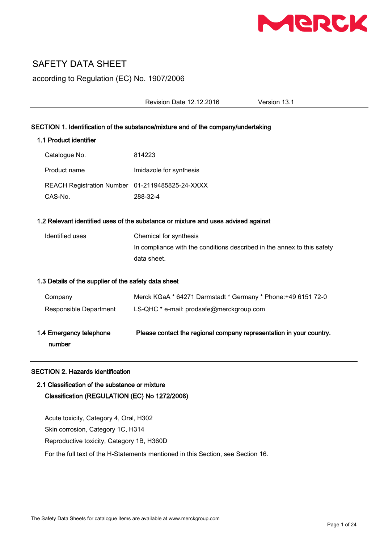

# SAFETY DATA SHEET

according to Regulation (EC) No. 1907/2006

Revision Date 12.12.2016 Version 13.1

# SECTION 1. Identification of the substance/mixture and of the company/undertaking

# 1.1 Product identifier

| Catalogue No.                                   | 814223                  |
|-------------------------------------------------|-------------------------|
| Product name                                    | Imidazole for synthesis |
| REACH Registration Number 01-2119485825-24-XXXX |                         |
| CAS-No.                                         | 288-32-4                |

# 1.2 Relevant identified uses of the substance or mixture and uses advised against

| Identified uses | Chemical for synthesis                                                  |
|-----------------|-------------------------------------------------------------------------|
|                 | In compliance with the conditions described in the annex to this safety |
|                 | data sheet.                                                             |

# 1.3 Details of the supplier of the safety data sheet

| 1.4 Emergency telephone<br>number | Please contact the regional company representation in your country. |
|-----------------------------------|---------------------------------------------------------------------|
| Responsible Department            | LS-QHC * e-mail: prodsafe@merckgroup.com                            |
| Company                           | Merck KGaA * 64271 Darmstadt * Germany * Phone: +49 6151 72-0       |

# SECTION 2. Hazards identification

# 2.1 Classification of the substance or mixture Classification (REGULATION (EC) No 1272/2008)

Acute toxicity, Category 4, Oral, H302 Skin corrosion, Category 1C, H314 Reproductive toxicity, Category 1B, H360D For the full text of the H-Statements mentioned in this Section, see Section 16.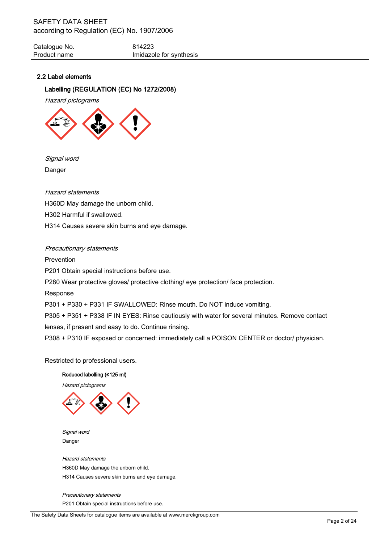Catalogue No. 614223 Product name **Imidazole** for synthesis

# 2.2 Label elements

# Labelling (REGULATION (EC) No 1272/2008)

Hazard pictograms



Signal word Danger

Hazard statements H360D May damage the unborn child. H302 Harmful if swallowed. H314 Causes severe skin burns and eye damage.

#### Precautionary statements

Prevention P201 Obtain special instructions before use. P280 Wear protective gloves/ protective clothing/ eye protection/ face protection. Response P301 + P330 + P331 IF SWALLOWED: Rinse mouth. Do NOT induce vomiting.

P305 + P351 + P338 IF IN EYES: Rinse cautiously with water for several minutes. Remove contact lenses, if present and easy to do. Continue rinsing.

P308 + P310 IF exposed or concerned: immediately call a POISON CENTER or doctor/ physician.

Restricted to professional users.

#### Reduced labelling (≤125 ml)

Hazard pictograms



 Signal word Danger

 Hazard statements H360D May damage the unborn child. H314 Causes severe skin burns and eye damage.

 Precautionary statements P201 Obtain special instructions before use.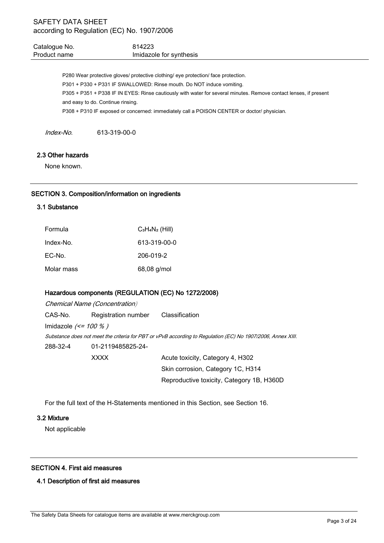| Catalogue No. | 814223                  |
|---------------|-------------------------|
| Product name  | Imidazole for synthesis |

P280 Wear protective gloves/ protective clothing/ eye protection/ face protection. P301 + P330 + P331 IF SWALLOWED: Rinse mouth. Do NOT induce vomiting. P305 + P351 + P338 IF IN EYES: Rinse cautiously with water for several minutes. Remove contact lenses, if present and easy to do. Continue rinsing. P308 + P310 IF exposed or concerned: immediately call a POISON CENTER or doctor/ physician.

Index-No. 613-319-00-0

# 2.3 Other hazards

None known.

# SECTION 3. Composition/information on ingredients

# 3.1 Substance

| Formula    | $C_3H_4N_2$ (Hill) |
|------------|--------------------|
| Index-No.  | 613-319-00-0       |
| EC-No.     | 206-019-2          |
| Molar mass | 68,08 g/mol        |

# Hazardous components (REGULATION (EC) No 1272/2008)

Chemical Name (Concentration) CAS-No. Registration number Classification Imidazole  $\ll$  = 100 % ) Substance does not meet the criteria for PBT or vPvB according to Regulation (EC) No 1907/2006, Annex XIII. 288-32-4 01-2119485825-24- XXXX Acute toxicity, Category 4, H302 Skin corrosion, Category 1C, H314

For the full text of the H-Statements mentioned in this Section, see Section 16.

Reproductive toxicity, Category 1B, H360D

#### 3.2 Mixture

Not applicable

# SECTION 4. First aid measures

# 4.1 Description of first aid measures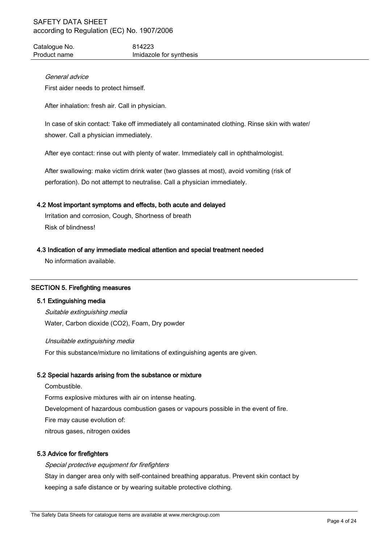Catalogue No. 614223 Product name **Imidazole** for synthesis

# General advice

First aider needs to protect himself.

After inhalation: fresh air. Call in physician.

In case of skin contact: Take off immediately all contaminated clothing. Rinse skin with water/ shower. Call a physician immediately.

After eye contact: rinse out with plenty of water. Immediately call in ophthalmologist.

After swallowing: make victim drink water (two glasses at most), avoid vomiting (risk of perforation). Do not attempt to neutralise. Call a physician immediately.

# 4.2 Most important symptoms and effects, both acute and delayed

Irritation and corrosion, Cough, Shortness of breath Risk of blindness!

# 4.3 Indication of any immediate medical attention and special treatment needed

No information available.

# SECTION 5. Firefighting measures

#### 5.1 Extinguishing media

Suitable extinguishing media Water, Carbon dioxide (CO2), Foam, Dry powder

Unsuitable extinguishing media For this substance/mixture no limitations of extinguishing agents are given.

# 5.2 Special hazards arising from the substance or mixture

**Combustible** Forms explosive mixtures with air on intense heating. Development of hazardous combustion gases or vapours possible in the event of fire. Fire may cause evolution of: nitrous gases, nitrogen oxides

#### 5.3 Advice for firefighters

Special protective equipment for firefighters Stay in danger area only with self-contained breathing apparatus. Prevent skin contact by keeping a safe distance or by wearing suitable protective clothing.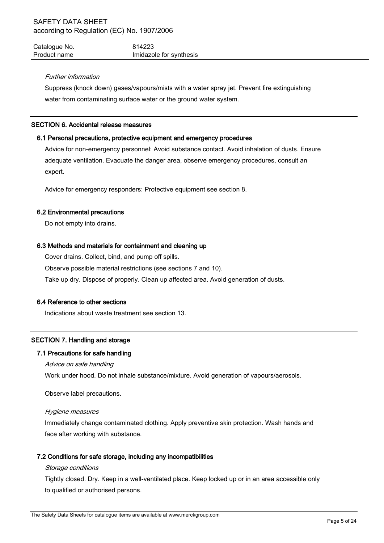| Catalogue No. | 814223                  |
|---------------|-------------------------|
| Product name  | Imidazole for synthesis |

# Further information

Suppress (knock down) gases/vapours/mists with a water spray jet. Prevent fire extinguishing water from contaminating surface water or the ground water system.

#### SECTION 6. Accidental release measures

# 6.1 Personal precautions, protective equipment and emergency procedures

Advice for non-emergency personnel: Avoid substance contact. Avoid inhalation of dusts. Ensure adequate ventilation. Evacuate the danger area, observe emergency procedures, consult an expert.

Advice for emergency responders: Protective equipment see section 8.

# 6.2 Environmental precautions

Do not empty into drains.

# 6.3 Methods and materials for containment and cleaning up

Cover drains. Collect, bind, and pump off spills.

Observe possible material restrictions (see sections 7 and 10).

Take up dry. Dispose of properly. Clean up affected area. Avoid generation of dusts.

# 6.4 Reference to other sections

Indications about waste treatment see section 13.

# SECTION 7. Handling and storage

#### 7.1 Precautions for safe handling

#### Advice on safe handling

Work under hood. Do not inhale substance/mixture. Avoid generation of vapours/aerosols.

Observe label precautions.

#### Hygiene measures

Immediately change contaminated clothing. Apply preventive skin protection. Wash hands and face after working with substance.

# 7.2 Conditions for safe storage, including any incompatibilities

# Storage conditions

Tightly closed. Dry. Keep in a well-ventilated place. Keep locked up or in an area accessible only to qualified or authorised persons.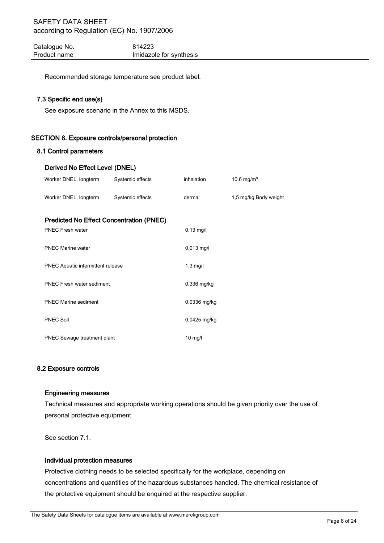Catalogue No. 614223 Product name **Imidazole** for synthesis

Recommended storage temperature see product label.

# 7.3 Specific end use(s)

See exposure scenario in the Annex to this MSDS.

# SECTION 8. Exposure controls/personal protection

#### 8.1 Control parameters

# Derived No Effect Level (DNEL)

| Worker DNEL, longterm                           | Systemic effects | inhalation     | 10,6 mg/m <sup>3</sup> |
|-------------------------------------------------|------------------|----------------|------------------------|
| Worker DNEL, longterm                           | Systemic effects | dermal         | 1,5 mg/kg Body weight  |
| <b>Predicted No Effect Concentration (PNEC)</b> |                  |                |                        |
| <b>PNEC Fresh water</b>                         |                  | $0,13$ mg/l    |                        |
| <b>PNEC Marine water</b>                        |                  | $0,013$ mg/l   |                        |
| PNEC Aquatic intermittent release               |                  | $1,3$ mg/l     |                        |
| <b>PNEC Fresh water sediment</b>                |                  | $0,336$ mg/kg  |                        |
| <b>PNEC Marine sediment</b>                     |                  | $0,0336$ mg/kg |                        |
| <b>PNEC Soil</b>                                |                  | $0,0425$ mg/kg |                        |
| PNEC Sewage treatment plant                     |                  | $10$ mg/l      |                        |

# 8.2 Exposure controls

## Engineering measures

Technical measures and appropriate working operations should be given priority over the use of personal protective equipment.

See section 7.1.

#### Individual protection measures

Protective clothing needs to be selected specifically for the workplace, depending on concentrations and quantities of the hazardous substances handled. The chemical resistance of the protective equipment should be enquired at the respective supplier.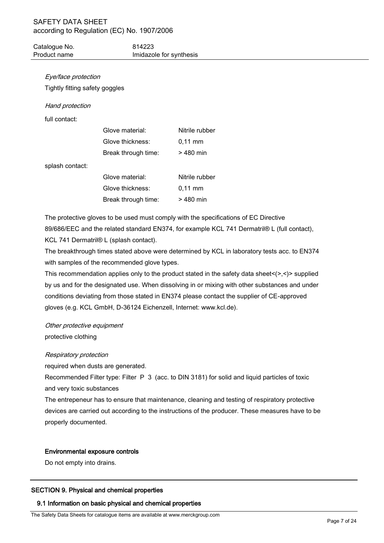| Catalogue No. | 814223                  |
|---------------|-------------------------|
| Product name  | Imidazole for synthesis |

# Eye/face protection

Tightly fitting safety goggles

# Hand protection

full contact:

| Glove material:     | Nitrile rubber      |
|---------------------|---------------------|
| Glove thickness:    | $0.11 \, \text{mm}$ |
| Break through time: | $>480$ min          |
|                     |                     |

splash contact:

| Glove material:     | Nitrile rubber      |
|---------------------|---------------------|
| Glove thickness:    | $0.11 \, \text{mm}$ |
| Break through time: | $>480$ min          |

The protective gloves to be used must comply with the specifications of EC Directive 89/686/EEC and the related standard EN374, for example KCL 741 Dermatril® L (full contact), KCL 741 Dermatril® L (splash contact).

The breakthrough times stated above were determined by KCL in laboratory tests acc. to EN374 with samples of the recommended glove types.

This recommendation applies only to the product stated in the safety data sheet $\langle \rangle$ , $\langle \rangle$  supplied by us and for the designated use. When dissolving in or mixing with other substances and under conditions deviating from those stated in EN374 please contact the supplier of CE-approved gloves (e.g. KCL GmbH, D-36124 Eichenzell, Internet: www.kcl.de).

Other protective equipment protective clothing

# Respiratory protection

required when dusts are generated.

Recommended Filter type: Filter P 3 (acc. to DIN 3181) for solid and liquid particles of toxic and very toxic substances

The entrepeneur has to ensure that maintenance, cleaning and testing of respiratory protective devices are carried out according to the instructions of the producer. These measures have to be properly documented.

# Environmental exposure controls

Do not empty into drains.

# SECTION 9. Physical and chemical properties

# 9.1 Information on basic physical and chemical properties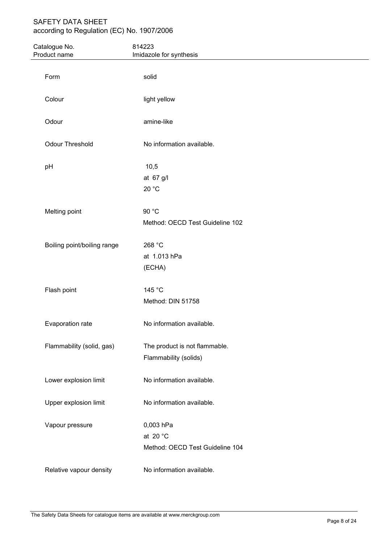| Catalogue No.<br>Product name | 814223<br>Imidazole for synthesis |  |
|-------------------------------|-----------------------------------|--|
|                               |                                   |  |
| Form                          | solid                             |  |
| Colour                        | light yellow                      |  |
| Odour                         | amine-like                        |  |
| Odour Threshold               | No information available.         |  |
| pH                            | 10,5                              |  |
|                               | at 67 g/l                         |  |
|                               | 20 °C                             |  |
| Melting point                 | 90 °C                             |  |
|                               | Method: OECD Test Guideline 102   |  |
| Boiling point/boiling range   | 268 °C                            |  |
|                               | at 1.013 hPa                      |  |
|                               | (ECHA)                            |  |
| Flash point                   | 145 °C                            |  |
|                               | Method: DIN 51758                 |  |
| Evaporation rate              | No information available.         |  |
| Flammability (solid, gas)     | The product is not flammable.     |  |
|                               | Flammability (solids)             |  |
| Lower explosion limit         | No information available.         |  |
| Upper explosion limit         | No information available.         |  |
| Vapour pressure               | 0,003 hPa                         |  |
|                               | at 20 $^{\circ}$ C                |  |
|                               | Method: OECD Test Guideline 104   |  |
| Relative vapour density       | No information available.         |  |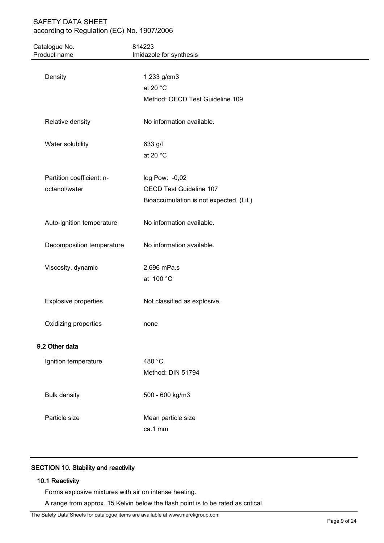| Catalogue No.<br>Product name | 814223<br>Imidazole for synthesis       |  |
|-------------------------------|-----------------------------------------|--|
|                               |                                         |  |
| Density                       | 1,233 g/cm3                             |  |
|                               | at 20 $^{\circ}$ C                      |  |
|                               | Method: OECD Test Guideline 109         |  |
| Relative density              | No information available.               |  |
| Water solubility              | 633 g/l                                 |  |
|                               | at 20 °C                                |  |
| Partition coefficient: n-     | log Pow: -0,02                          |  |
| octanol/water                 | OECD Test Guideline 107                 |  |
|                               | Bioaccumulation is not expected. (Lit.) |  |
| Auto-ignition temperature     | No information available.               |  |
| Decomposition temperature     | No information available.               |  |
| Viscosity, dynamic            | 2,696 mPa.s                             |  |
|                               | at 100 °C                               |  |
| <b>Explosive properties</b>   | Not classified as explosive.            |  |
| Oxidizing properties          | none                                    |  |
| 9.2 Other data                |                                         |  |
| Ignition temperature          | 480 °C                                  |  |
|                               | Method: DIN 51794                       |  |
| <b>Bulk density</b>           | 500 - 600 kg/m3                         |  |
| Particle size                 | Mean particle size                      |  |
|                               | ca.1 mm                                 |  |

# SECTION 10. Stability and reactivity

# 10.1 Reactivity

Forms explosive mixtures with air on intense heating.

A range from approx. 15 Kelvin below the flash point is to be rated as critical.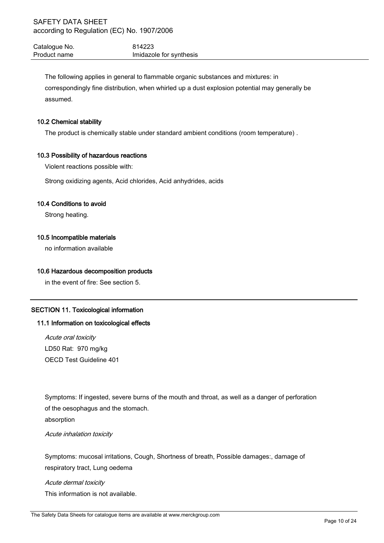Catalogue No. 614223 Product name **Imidazole** for synthesis

The following applies in general to flammable organic substances and mixtures: in correspondingly fine distribution, when whirled up a dust explosion potential may generally be assumed.

# 10.2 Chemical stability

The product is chemically stable under standard ambient conditions (room temperature) .

# 10.3 Possibility of hazardous reactions

Violent reactions possible with:

Strong oxidizing agents, Acid chlorides, Acid anhydrides, acids

# 10.4 Conditions to avoid

Strong heating.

# 10.5 Incompatible materials

no information available

# 10.6 Hazardous decomposition products

in the event of fire: See section 5.

# SECTION 11. Toxicological information

# 11.1 Information on toxicological effects

Acute oral toxicity LD50 Rat: 970 mg/kg OECD Test Guideline 401

Symptoms: If ingested, severe burns of the mouth and throat, as well as a danger of perforation of the oesophagus and the stomach.

absorption

Acute inhalation toxicity

Symptoms: mucosal irritations, Cough, Shortness of breath, Possible damages:, damage of respiratory tract, Lung oedema

Acute dermal toxicity This information is not available.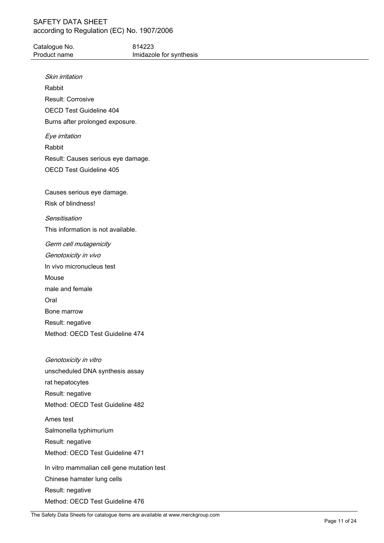# SAFETY DATA SHEET

| Catalogue No.                      | 814223                  |
|------------------------------------|-------------------------|
| Product name                       | Imidazole for synthesis |
| Skin irritation                    |                         |
| Rabbit                             |                         |
| Result: Corrosive                  |                         |
| OECD Test Guideline 404            |                         |
| Burns after prolonged exposure.    |                         |
| Eye irritation                     |                         |
| Rabbit                             |                         |
| Result: Causes serious eye damage. |                         |
| <b>OECD Test Guideline 405</b>     |                         |
|                                    |                         |
| Causes serious eye damage.         |                         |
| Risk of blindness!                 |                         |
| Sensitisation                      |                         |
| This information is not available. |                         |
| Germ cell mutagenicity             |                         |
| Genotoxicity in vivo               |                         |
| In vivo micronucleus test          |                         |
| Mouse                              |                         |
| male and female                    |                         |
| Oral                               |                         |
| Bone marrow                        |                         |
| Result: negative                   |                         |
| Method: OECD Test Guideline 474    |                         |
|                                    |                         |
| Genotoxicity in vitro              |                         |
| unscheduled DNA synthesis assay    |                         |
| rat hepatocytes                    |                         |
| Result: negative                   |                         |
| Method: OECD Test Guideline 482    |                         |
| Ames test                          |                         |
| Salmonella typhimurium             |                         |
| Result: negative                   |                         |

Method: OECD Test Guideline 471

In vitro mammalian cell gene mutation test Chinese hamster lung cells Result: negative Method: OECD Test Guideline 476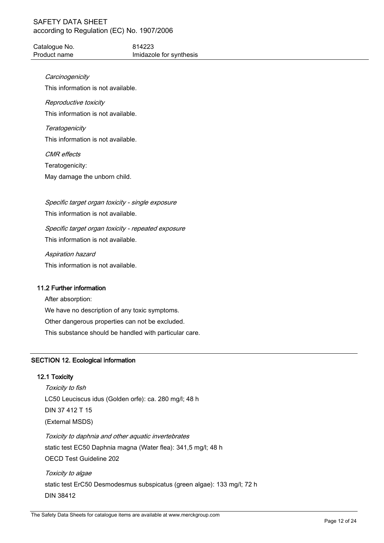Catalogue No. 614223 Product name **Imidazole** for synthesis

**Carcinogenicity** 

This information is not available.

# Reproductive toxicity

This information is not available.

# **Teratogenicity** This information is not available.

CMR effects

Teratogenicity:

May damage the unborn child.

Specific target organ toxicity - single exposure This information is not available.

Specific target organ toxicity - repeated exposure This information is not available.

Aspiration hazard

This information is not available.

# 11.2 Further information

After absorption: We have no description of any toxic symptoms. Other dangerous properties can not be excluded. This substance should be handled with particular care.

# SECTION 12. Ecological information

# 12.1 Toxicity

Toxicity to fish LC50 Leuciscus idus (Golden orfe): ca. 280 mg/l; 48 h DIN 37 412 T 15 (External MSDS) Toxicity to daphnia and other aquatic invertebrates static test EC50 Daphnia magna (Water flea): 341,5 mg/l; 48 h OECD Test Guideline 202 Toxicity to algae static test ErC50 Desmodesmus subspicatus (green algae): 133 mg/l; 72 h

DIN 38412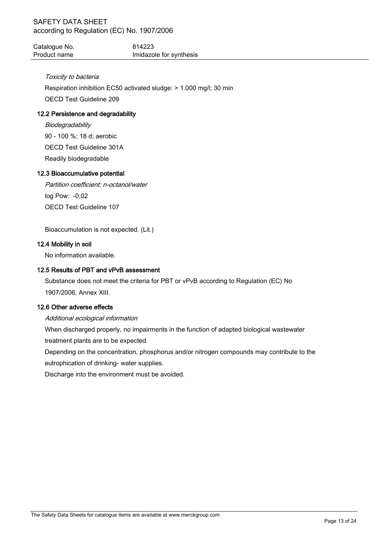| Catalogue No. | 814223                  |
|---------------|-------------------------|
| Product name  | Imidazole for synthesis |

# Toxicity to bacteria

Respiration inhibition EC50 activated sludge: > 1.000 mg/l; 30 min

OECD Test Guideline 209

# 12.2 Persistence and degradability

**Biodegradability** 90 - 100 %; 18 d; aerobic OECD Test Guideline 301A Readily biodegradable

# 12.3 Bioaccumulative potential

Partition coefficient: n-octanol/water log Pow: -0,02 OECD Test Guideline 107

Bioaccumulation is not expected. (Lit.)

# 12.4 Mobility in soil

No information available.

# 12.5 Results of PBT and vPvB assessment

Substance does not meet the criteria for PBT or vPvB according to Regulation (EC) No 1907/2006, Annex XIII.

# 12.6 Other adverse effects

# Additional ecological information

When discharged properly, no impairments in the function of adapted biological wastewater treatment plants are to be expected.

Depending on the concentration, phosphorus and/or nitrogen compounds may contribute to the eutrophication of drinking- water supplies.

Discharge into the environment must be avoided.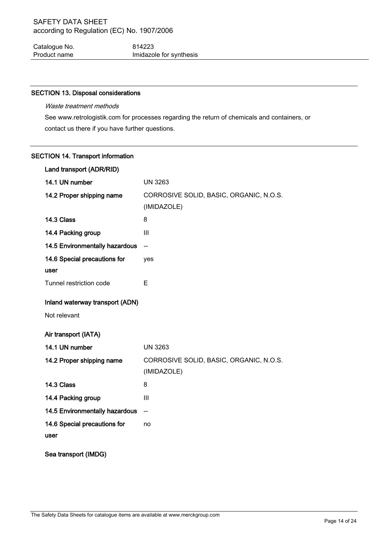Catalogue No. 614223 Product name **Imidazole** for synthesis

# SECTION 13. Disposal considerations

# Waste treatment methods

See www.retrologistik.com for processes regarding the return of chemicals and containers, or contact us there if you have further questions.

# SECTION 14. Transport information

| Land transport (ADR/RID)        |                                                        |  |
|---------------------------------|--------------------------------------------------------|--|
| 14.1 UN number                  | <b>UN 3263</b>                                         |  |
| 14.2 Proper shipping name       | CORROSIVE SOLID, BASIC, ORGANIC, N.O.S.                |  |
|                                 | (IMIDAZOLE)                                            |  |
| 14.3 Class                      | 8                                                      |  |
| 14.4 Packing group              | III                                                    |  |
| 14.5 Environmentally hazardous  | $\overline{\phantom{a}}$                               |  |
| 14.6 Special precautions for    | yes                                                    |  |
| user                            |                                                        |  |
| Tunnel restriction code         | E                                                      |  |
| Inland waterway transport (ADN) |                                                        |  |
| Not relevant                    |                                                        |  |
| Air transport (IATA)            |                                                        |  |
| 14.1 UN number                  | <b>UN 3263</b>                                         |  |
| 14.2 Proper shipping name       | CORROSIVE SOLID, BASIC, ORGANIC, N.O.S.<br>(IMIDAZOLE) |  |
| 14.3 Class                      | 8                                                      |  |
| 14.4 Packing group              | III                                                    |  |
| 14.5 Environmentally hazardous  | $\overline{a}$                                         |  |
| 14.6 Special precautions for    | no                                                     |  |
| user                            |                                                        |  |
| Sea transport (IMDG)            |                                                        |  |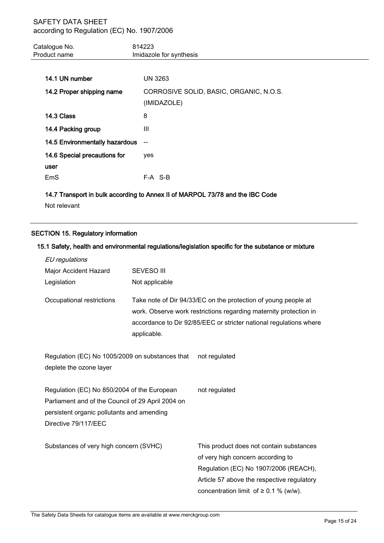| Catalogue No.<br>Product name                                                       | 814223<br>Imidazole for synthesis |
|-------------------------------------------------------------------------------------|-----------------------------------|
| 14.1 UN number                                                                      | UN 3263                           |
| CORROSIVE SOLID, BASIC, ORGANIC, N.O.S.<br>14.2 Proper shipping name<br>(IMIDAZOLE) |                                   |

| 14.3 Class                            | 8       |
|---------------------------------------|---------|
| 14.4 Packing group                    | Ш       |
| <b>14.5 Environmentally hazardous</b> | $\sim$  |
| 14.6 Special precautions for          | ves     |
| user                                  |         |
| EmS                                   | F-A S-B |

14.7 Transport in bulk according to Annex II of MARPOL 73/78 and the IBC Code

Not relevant

# SECTION 15. Regulatory information

# 15.1 Safety, health and environmental regulations/legislation specific for the substance or mixture

| EU regulations                                                                              |                                                                                                                                                                                                                          |                                                                                                                        |  |
|---------------------------------------------------------------------------------------------|--------------------------------------------------------------------------------------------------------------------------------------------------------------------------------------------------------------------------|------------------------------------------------------------------------------------------------------------------------|--|
| Major Accident Hazard                                                                       | <b>SEVESO III</b>                                                                                                                                                                                                        |                                                                                                                        |  |
| Legislation                                                                                 | Not applicable                                                                                                                                                                                                           |                                                                                                                        |  |
| Occupational restrictions                                                                   | Take note of Dir 94/33/EC on the protection of young people at<br>work. Observe work restrictions regarding maternity protection in<br>accordance to Dir 92/85/EEC or stricter national regulations where<br>applicable. |                                                                                                                        |  |
| Regulation (EC) No 1005/2009 on substances that<br>not regulated<br>deplete the ozone layer |                                                                                                                                                                                                                          |                                                                                                                        |  |
| Regulation (EC) No 850/2004 of the European<br>not regulated                                |                                                                                                                                                                                                                          |                                                                                                                        |  |
| Parliament and of the Council of 29 April 2004 on                                           |                                                                                                                                                                                                                          |                                                                                                                        |  |
| persistent organic pollutants and amending                                                  |                                                                                                                                                                                                                          |                                                                                                                        |  |
| Directive 79/117/EEC                                                                        |                                                                                                                                                                                                                          |                                                                                                                        |  |
| Substances of very high concern (SVHC)                                                      |                                                                                                                                                                                                                          | This product does not contain substances<br>of very high concern according to<br>Regulation (EC) No 1907/2006 (REACH), |  |
|                                                                                             |                                                                                                                                                                                                                          | Article 57 above the respective regulatory                                                                             |  |
|                                                                                             |                                                                                                                                                                                                                          | concentration limit of $\geq$ 0.1 % (w/w).                                                                             |  |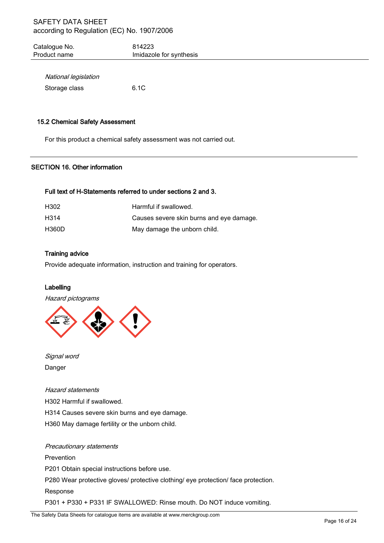| Catalogue No. | 814223                  |
|---------------|-------------------------|
| Product name  | Imidazole for synthesis |
|               |                         |

| National legislation |      |
|----------------------|------|
| Storage class        | 6.1C |

# 15.2 Chemical Safety Assessment

For this product a chemical safety assessment was not carried out.

# SECTION 16. Other information

# Full text of H-Statements referred to under sections 2 and 3.

| H <sub>302</sub>  | Harmful if swallowed.                    |
|-------------------|------------------------------------------|
| H <sub>3</sub> 14 | Causes severe skin burns and eye damage. |
| H360D             | May damage the unborn child.             |

# Training advice

Provide adequate information, instruction and training for operators.

# Labelling

Hazard pictograms



Signal word Danger

#### Hazard statements

H302 Harmful if swallowed.

H314 Causes severe skin burns and eye damage.

H360 May damage fertility or the unborn child.

Precautionary statements Prevention P201 Obtain special instructions before use. P280 Wear protective gloves/ protective clothing/ eye protection/ face protection. Response P301 + P330 + P331 IF SWALLOWED: Rinse mouth. Do NOT induce vomiting.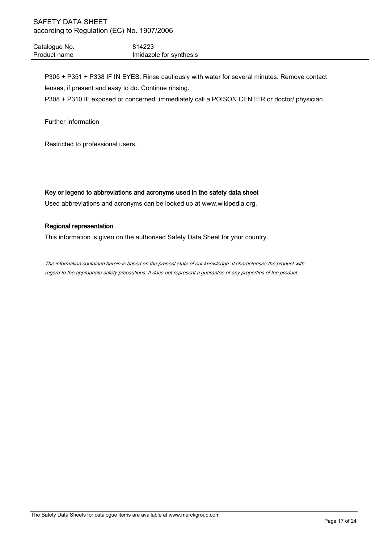Catalogue No. 614223 Product name **Imidazole** for synthesis

P305 + P351 + P338 IF IN EYES: Rinse cautiously with water for several minutes. Remove contact lenses, if present and easy to do. Continue rinsing.

P308 + P310 IF exposed or concerned: immediately call a POISON CENTER or doctor/ physician.

Further information

Restricted to professional users.

# Key or legend to abbreviations and acronyms used in the safety data sheet

Used abbreviations and acronyms can be looked up at www.wikipedia.org.

# Regional representation

This information is given on the authorised Safety Data Sheet for your country.

The information contained herein is based on the present state of our knowledge. It characterises the product with regard to the appropriate safety precautions. It does not represent a guarantee of any properties of the product.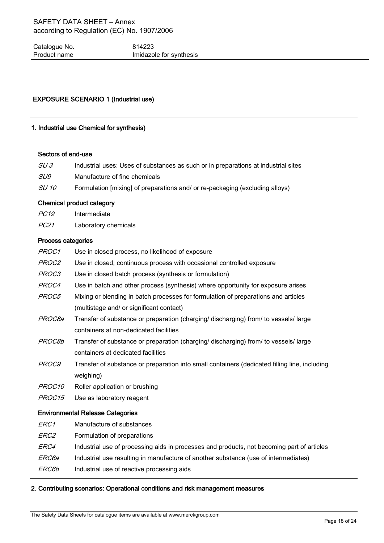Catalogue No. 614223 Product name **Imidazole** for synthesis

# EXPOSURE SCENARIO 1 (Industrial use)

# 1. Industrial use Chemical for synthesis)

# Sectors of end-use

| SU 3       | Industrial uses: Uses of substances as such or in preparations at industrial sites |
|------------|------------------------------------------------------------------------------------|
| <i>SU9</i> | Manufacture of fine chemicals                                                      |
|            |                                                                                    |

SU 10 Formulation [mixing] of preparations and/ or re-packaging (excluding alloys)

# Chemical product category

- PC19 Intermediate
- PC21 Laboratory chemicals

# Process categories

| PROC1              | Use in closed process, no likelihood of exposure                                              |
|--------------------|-----------------------------------------------------------------------------------------------|
| <i>PROC2</i>       | Use in closed, continuous process with occasional controlled exposure                         |
| PROC3              | Use in closed batch process (synthesis or formulation)                                        |
| PROC4              | Use in batch and other process (synthesis) where opportunity for exposure arises              |
| PROC5              | Mixing or blending in batch processes for formulation of preparations and articles            |
|                    | (multistage and/ or significant contact)                                                      |
| <i>PROC8a</i>      | Transfer of substance or preparation (charging/ discharging) from/ to vessels/ large          |
|                    | containers at non-dedicated facilities                                                        |
| PROC8b             | Transfer of substance or preparation (charging/ discharging) from/ to vessels/ large          |
|                    | containers at dedicated facilities                                                            |
| <i>PROC9</i>       | Transfer of substance or preparation into small containers (dedicated filling line, including |
|                    | weighing)                                                                                     |
| PROC <sub>10</sub> | Roller application or brushing                                                                |
| PROC15             | Use as laboratory reagent                                                                     |
|                    | <b>Environmental Release Categories</b>                                                       |
| <i>ERC1</i>        | Manufacture of substances                                                                     |
| <i>ERC2</i>        | Formulation of preparations                                                                   |
| <i>ERC4</i>        | Industrial use of processing aids in processes and products, not becoming part of articles    |
| <i>ERC6a</i>       | Industrial use resulting in manufacture of another substance (use of intermediates)           |
| ERC6b              | Industrial use of reactive processing aids                                                    |
|                    |                                                                                               |

# 2. Contributing scenarios: Operational conditions and risk management measures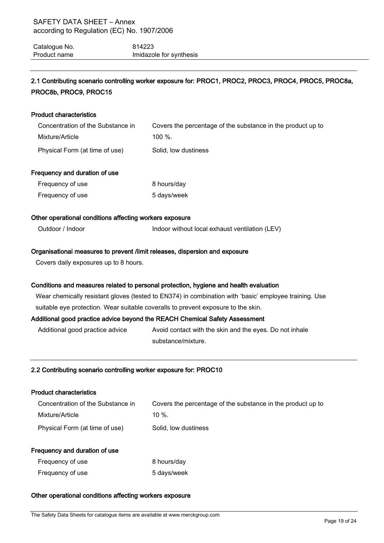| Catalogue No. | 814223                  |
|---------------|-------------------------|
| Product name  | Imidazole for synthesis |

# 2.1 Contributing scenario controlling worker exposure for: PROC1, PROC2, PROC3, PROC4, PROC5, PROC8a, PROC8b, PROC9, PROC15

# Product characteristics Concentration of the Substance in Mixture/Article Covers the percentage of the substance in the product up to 100 %. Physical Form (at time of use) Solid, low dustiness Frequency and duration of use Frequency of use 8 hours/day Frequency of use 5 days/week Other operational conditions affecting workers exposure Outdoor / Indoor **Indoor Indoor without local exhaust ventilation (LEV)** Organisational measures to prevent /limit releases, dispersion and exposure Covers daily exposures up to 8 hours. Conditions and measures related to personal protection, hygiene and health evaluation Wear chemically resistant gloves (tested to EN374) in combination with 'basic' employee training. Use suitable eye protection. Wear suitable coveralls to prevent exposure to the skin. Additional good practice advice beyond the REACH Chemical Safety Assessment

Additional good practice advice Avoid contact with the skin and the eyes. Do not inhale substance/mixture.

# 2.2 Contributing scenario controlling worker exposure for: PROC10

# Product characteristics

| Concentration of the Substance in | Covers the percentage of the substance in the product up to |
|-----------------------------------|-------------------------------------------------------------|
| Mixture/Article                   | $10\%$ .                                                    |
| Physical Form (at time of use)    | Solid, low dustiness                                        |

# Frequency and duration of use

| Frequency of use | 8 hours/day |
|------------------|-------------|
| Frequency of use | 5 days/week |

# Other operational conditions affecting workers exposure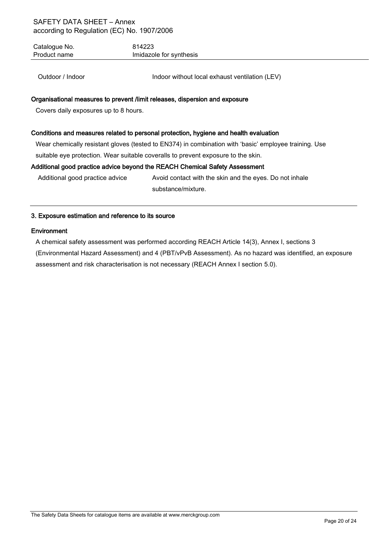Catalogue No. 614223 Product name **Imidazole** for synthesis

Outdoor / Indoor **Indoor Indoor without local exhaust ventilation (LEV)** 

# Organisational measures to prevent /limit releases, dispersion and exposure

Covers daily exposures up to 8 hours.

# Conditions and measures related to personal protection, hygiene and health evaluation

Wear chemically resistant gloves (tested to EN374) in combination with 'basic' employee training. Use suitable eye protection. Wear suitable coveralls to prevent exposure to the skin.

# Additional good practice advice beyond the REACH Chemical Safety Assessment

Additional good practice advice Avoid contact with the skin and the eyes. Do not inhale substance/mixture.

# 3. Exposure estimation and reference to its source

# **Environment**

A chemical safety assessment was performed according REACH Article 14(3), Annex I, sections 3

(Environmental Hazard Assessment) and 4 (PBT/vPvB Assessment). As no hazard was identified, an exposure assessment and risk characterisation is not necessary (REACH Annex I section 5.0).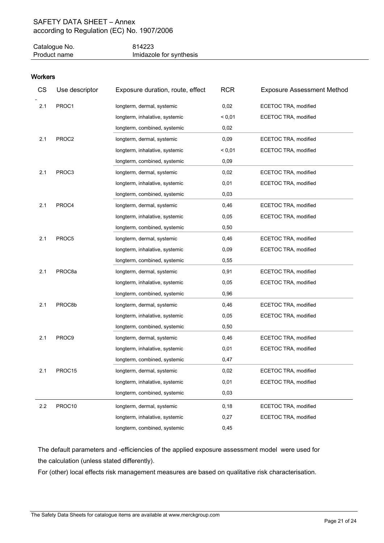| Catalogue No. | 814223                  |
|---------------|-------------------------|
| Product name  | Imidazole for synthesis |

# **Workers**

| CS  | Use descriptor     | Exposure duration, route, effect | <b>RCR</b> | <b>Exposure Assessment Method</b> |
|-----|--------------------|----------------------------------|------------|-----------------------------------|
| 2.1 | PROC1              | longterm, dermal, systemic       | 0,02       | ECETOC TRA, modified              |
|     |                    | longterm, inhalative, systemic   | < 0,01     | ECETOC TRA, modified              |
|     |                    | longterm, combined, systemic     | 0,02       |                                   |
| 2.1 | PROC2              | longterm, dermal, systemic       | 0,09       | ECETOC TRA, modified              |
|     |                    | longterm, inhalative, systemic   | < 0,01     | ECETOC TRA, modified              |
|     |                    | longterm, combined, systemic     | 0,09       |                                   |
| 2.1 | PROC3              | longterm, dermal, systemic       | 0,02       | ECETOC TRA, modified              |
|     |                    | longterm, inhalative, systemic   | 0,01       | ECETOC TRA, modified              |
|     |                    | longterm, combined, systemic     | 0,03       |                                   |
| 2.1 | PROC4              | longterm, dermal, systemic       | 0,46       | ECETOC TRA, modified              |
|     |                    | longterm, inhalative, systemic   | 0,05       | ECETOC TRA, modified              |
|     |                    | longterm, combined, systemic     | 0,50       |                                   |
| 2.1 | PROC5              | longterm, dermal, systemic       | 0,46       | ECETOC TRA, modified              |
|     |                    | longterm, inhalative, systemic   | 0,09       | ECETOC TRA, modified              |
|     |                    | longterm, combined, systemic     | 0,55       |                                   |
| 2.1 | PROC8a             | longterm, dermal, systemic       | 0,91       | ECETOC TRA, modified              |
|     |                    | longterm, inhalative, systemic   | 0,05       | ECETOC TRA, modified              |
|     |                    | longterm, combined, systemic     | 0,96       |                                   |
| 2.1 | PROC8b             | longterm, dermal, systemic       | 0,46       | ECETOC TRA, modified              |
|     |                    | longterm, inhalative, systemic   | 0,05       | ECETOC TRA, modified              |
|     |                    | longterm, combined, systemic     | 0,50       |                                   |
| 2.1 | PROC9              | longterm, dermal, systemic       | 0,46       | ECETOC TRA, modified              |
|     |                    | longterm, inhalative, systemic   | 0,01       | ECETOC TRA, modified              |
|     |                    | longterm, combined, systemic     | 0,47       |                                   |
| 2.1 | PROC <sub>15</sub> | longterm, dermal, systemic       | 0,02       | ECETOC TRA, modified              |
|     |                    | longterm, inhalative, systemic   | 0,01       | ECETOC TRA, modified              |
|     |                    | longterm, combined, systemic     | 0,03       |                                   |
| 2.2 | PROC10             | longterm, dermal, systemic       | 0,18       | ECETOC TRA, modified              |
|     |                    | longterm, inhalative, systemic   | 0,27       | ECETOC TRA, modified              |
|     |                    | longterm, combined, systemic     | 0,45       |                                   |

The default parameters and -efficiencies of the applied exposure assessment model were used for the calculation (unless stated differently).

For (other) local effects risk management measures are based on qualitative risk characterisation.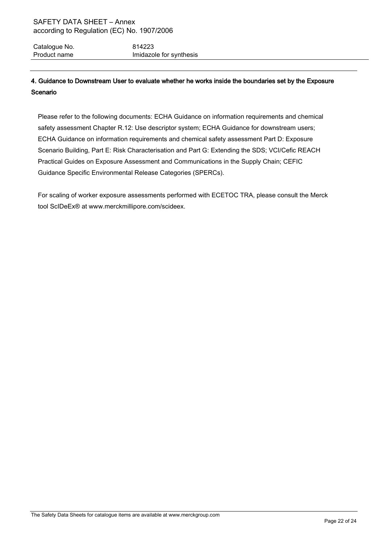Catalogue No. 614223 Product name **Imidazole** for synthesis

# 4. Guidance to Downstream User to evaluate whether he works inside the boundaries set by the Exposure Scenario

Please refer to the following documents: ECHA Guidance on information requirements and chemical safety assessment Chapter R.12: Use descriptor system; ECHA Guidance for downstream users; ECHA Guidance on information requirements and chemical safety assessment Part D: Exposure Scenario Building, Part E: Risk Characterisation and Part G: Extending the SDS; VCI/Cefic REACH Practical Guides on Exposure Assessment and Communications in the Supply Chain; CEFIC Guidance Specific Environmental Release Categories (SPERCs).

For scaling of worker exposure assessments performed with ECETOC TRA, please consult the Merck tool ScIDeEx® at www.merckmillipore.com/scideex.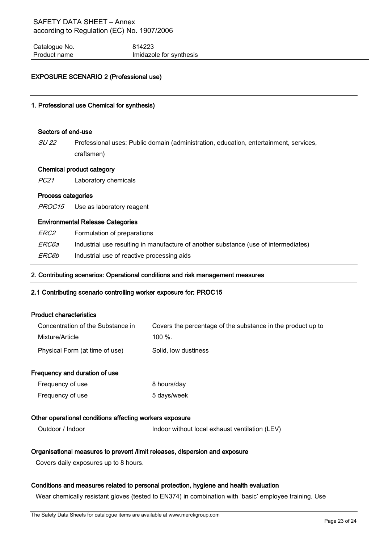Catalogue No. 614223 Product name **Imidazole** for synthesis

# EXPOSURE SCENARIO 2 (Professional use)

# 1. Professional use Chemical for synthesis)

#### Sectors of end-use

SU 22 Professional uses: Public domain (administration, education, entertainment, services, craftsmen)

#### Chemical product category

PC21 Laboratory chemicals

#### Process categories

PROC15 Use as laboratory reagent

#### Environmental Release Categories

| <i>ERC2</i> | Formulation of preparations |
|-------------|-----------------------------|
|-------------|-----------------------------|

ERC6a Industrial use resulting in manufacture of another substance (use of intermediates)

ERC6b Industrial use of reactive processing aids

#### 2. Contributing scenarios: Operational conditions and risk management measures

#### 2.1 Contributing scenario controlling worker exposure for: PROC15

#### Product characteristics

| Concentration of the Substance in | Covers the percentage of the substance in the product up to |
|-----------------------------------|-------------------------------------------------------------|
| Mixture/Article                   | $100\%$                                                     |
| Physical Form (at time of use)    | Solid, low dustiness                                        |

#### Frequency and duration of use

| Frequency of use | 8 hours/day |
|------------------|-------------|
| Frequency of use | 5 days/week |

#### Other operational conditions affecting workers exposure

Outdoor / Indoor **Indoor Indoor without local exhaust ventilation (LEV)** 

#### Organisational measures to prevent /limit releases, dispersion and exposure

Covers daily exposures up to 8 hours.

#### Conditions and measures related to personal protection, hygiene and health evaluation

Wear chemically resistant gloves (tested to EN374) in combination with 'basic' employee training. Use